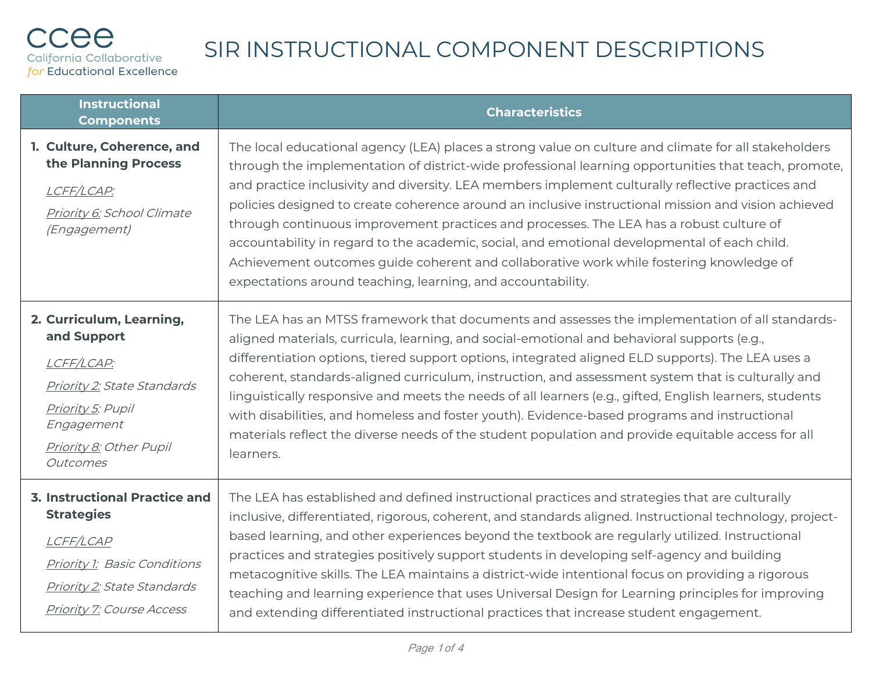| <b>Instructional</b><br><b>Components</b>                                                                                                                                        | <b>Characteristics</b>                                                                                                                                                                                                                                                                                                                                                                                                                                                                                                                                                                                                                                                                                                                                                        |
|----------------------------------------------------------------------------------------------------------------------------------------------------------------------------------|-------------------------------------------------------------------------------------------------------------------------------------------------------------------------------------------------------------------------------------------------------------------------------------------------------------------------------------------------------------------------------------------------------------------------------------------------------------------------------------------------------------------------------------------------------------------------------------------------------------------------------------------------------------------------------------------------------------------------------------------------------------------------------|
| 1. Culture, Coherence, and<br>the Planning Process<br>LCFF/LCAP:<br>Priority 6: School Climate<br>(Engagement)                                                                   | The local educational agency (LEA) places a strong value on culture and climate for all stakeholders<br>through the implementation of district-wide professional learning opportunities that teach, promote,<br>and practice inclusivity and diversity. LEA members implement culturally reflective practices and<br>policies designed to create coherence around an inclusive instructional mission and vision achieved<br>through continuous improvement practices and processes. The LEA has a robust culture of<br>accountability in regard to the academic, social, and emotional developmental of each child.<br>Achievement outcomes guide coherent and collaborative work while fostering knowledge of<br>expectations around teaching, learning, and accountability. |
| 2. Curriculum, Learning,<br>and Support<br>LCFF/LCAP:<br><b>Priority 2: State Standards</b><br>Priority 5: Pupil<br>Engagement<br>Priority 8: Other Pupil<br>Outcomes            | The LEA has an MTSS framework that documents and assesses the implementation of all standards-<br>aligned materials, curricula, learning, and social-emotional and behavioral supports (e.g.,<br>differentiation options, tiered support options, integrated aligned ELD supports). The LEA uses a<br>coherent, standards-aligned curriculum, instruction, and assessment system that is culturally and<br>linguistically responsive and meets the needs of all learners (e.g., gifted, English learners, students<br>with disabilities, and homeless and foster youth). Evidence-based programs and instructional<br>materials reflect the diverse needs of the student population and provide equitable access for all<br>learners.                                         |
| <b>3. Instructional Practice and</b><br><b>Strategies</b><br>LCFF/LCAP<br><b>Priority 1: Basic Conditions</b><br>Priority 2: State Standards<br><b>Priority 7: Course Access</b> | The LEA has established and defined instructional practices and strategies that are culturally<br>inclusive, differentiated, rigorous, coherent, and standards aligned. Instructional technology, project-<br>based learning, and other experiences beyond the textbook are regularly utilized. Instructional<br>practices and strategies positively support students in developing self-agency and building<br>metacognitive skills. The LEA maintains a district-wide intentional focus on providing a rigorous<br>teaching and learning experience that uses Universal Design for Learning principles for improving<br>and extending differentiated instructional practices that increase student engagement.                                                              |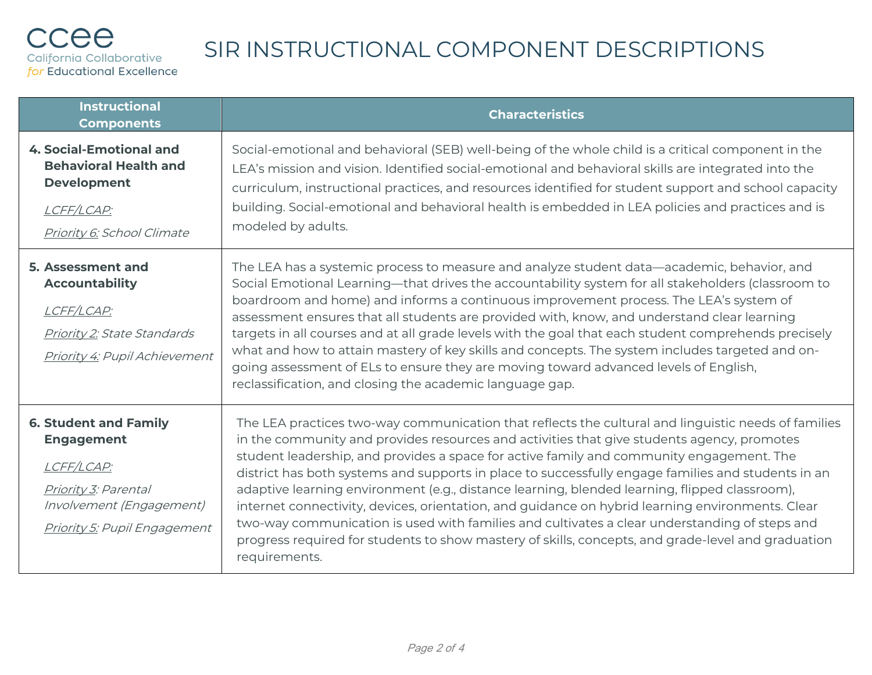| <b>Instructional</b><br><b>Components</b>                                                                                                                  | <b>Characteristics</b>                                                                                                                                                                                                                                                                                                                                                                                                                                                                                                                                                                                                                                                                                                                                                                                                           |
|------------------------------------------------------------------------------------------------------------------------------------------------------------|----------------------------------------------------------------------------------------------------------------------------------------------------------------------------------------------------------------------------------------------------------------------------------------------------------------------------------------------------------------------------------------------------------------------------------------------------------------------------------------------------------------------------------------------------------------------------------------------------------------------------------------------------------------------------------------------------------------------------------------------------------------------------------------------------------------------------------|
| <b>4. Social-Emotional and</b><br><b>Behavioral Health and</b><br><b>Development</b><br>LCFF/LCAP:<br>Priority 6: School Climate                           | Social-emotional and behavioral (SEB) well-being of the whole child is a critical component in the<br>LEA's mission and vision. Identified social-emotional and behavioral skills are integrated into the<br>curriculum, instructional practices, and resources identified for student support and school capacity<br>building. Social-emotional and behavioral health is embedded in LEA policies and practices and is<br>modeled by adults.                                                                                                                                                                                                                                                                                                                                                                                    |
| 5. Assessment and<br><b>Accountability</b><br>LCFF/LCAP:<br><b>Priority 2: State Standards</b><br><b>Priority 4: Pupil Achievement</b>                     | The LEA has a systemic process to measure and analyze student data—academic, behavior, and<br>Social Emotional Learning-that drives the accountability system for all stakeholders (classroom to<br>boardroom and home) and informs a continuous improvement process. The LEA's system of<br>assessment ensures that all students are provided with, know, and understand clear learning<br>targets in all courses and at all grade levels with the goal that each student comprehends precisely<br>what and how to attain mastery of key skills and concepts. The system includes targeted and on-<br>going assessment of ELs to ensure they are moving toward advanced levels of English,<br>reclassification, and closing the academic language gap.                                                                          |
| <b>6. Student and Family</b><br><b>Engagement</b><br>LCFF/LCAP:<br>Priority 3: Parental<br>Involvement (Engagement)<br><b>Priority 5: Pupil Engagement</b> | The LEA practices two-way communication that reflects the cultural and linguistic needs of families<br>in the community and provides resources and activities that give students agency, promotes<br>student leadership, and provides a space for active family and community engagement. The<br>district has both systems and supports in place to successfully engage families and students in an<br>adaptive learning environment (e.g., distance learning, blended learning, flipped classroom),<br>internet connectivity, devices, orientation, and guidance on hybrid learning environments. Clear<br>two-way communication is used with families and cultivates a clear understanding of steps and<br>progress required for students to show mastery of skills, concepts, and grade-level and graduation<br>requirements. |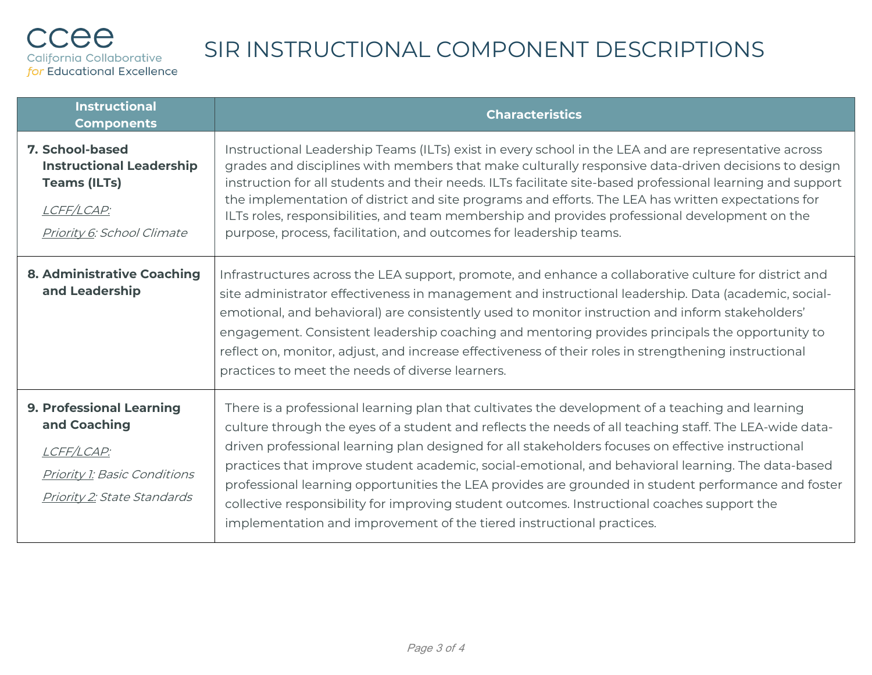| <b>Instructional</b><br><b>Components</b>                                                                                                  | <b>Characteristics</b>                                                                                                                                                                                                                                                                                                                                                                                                                                                                                                                                                                                                                                                                                |
|--------------------------------------------------------------------------------------------------------------------------------------------|-------------------------------------------------------------------------------------------------------------------------------------------------------------------------------------------------------------------------------------------------------------------------------------------------------------------------------------------------------------------------------------------------------------------------------------------------------------------------------------------------------------------------------------------------------------------------------------------------------------------------------------------------------------------------------------------------------|
| 7. School-based<br><b>Instructional Leadership</b><br><b>Teams (ILTs)</b><br>LCFF/LCAP:<br>Priority 6: School Climate                      | Instructional Leadership Teams (ILTs) exist in every school in the LEA and are representative across<br>grades and disciplines with members that make culturally responsive data-driven decisions to design<br>instruction for all students and their needs. ILTs facilitate site-based professional learning and support<br>the implementation of district and site programs and efforts. The LEA has written expectations for<br>ILTs roles, responsibilities, and team membership and provides professional development on the<br>purpose, process, facilitation, and outcomes for leadership teams.                                                                                               |
| <b>8. Administrative Coaching</b><br>and Leadership                                                                                        | Infrastructures across the LEA support, promote, and enhance a collaborative culture for district and<br>site administrator effectiveness in management and instructional leadership. Data (academic, social-<br>emotional, and behavioral) are consistently used to monitor instruction and inform stakeholders'<br>engagement. Consistent leadership coaching and mentoring provides principals the opportunity to<br>reflect on, monitor, adjust, and increase effectiveness of their roles in strengthening instructional<br>practices to meet the needs of diverse learners.                                                                                                                     |
| <b>9. Professional Learning</b><br>and Coaching<br>LCFF/LCAP:<br><b>Priority 1: Basic Conditions</b><br><b>Priority 2: State Standards</b> | There is a professional learning plan that cultivates the development of a teaching and learning<br>culture through the eyes of a student and reflects the needs of all teaching staff. The LEA-wide data-<br>driven professional learning plan designed for all stakeholders focuses on effective instructional<br>practices that improve student academic, social-emotional, and behavioral learning. The data-based<br>professional learning opportunities the LEA provides are grounded in student performance and foster<br>collective responsibility for improving student outcomes. Instructional coaches support the<br>implementation and improvement of the tiered instructional practices. |